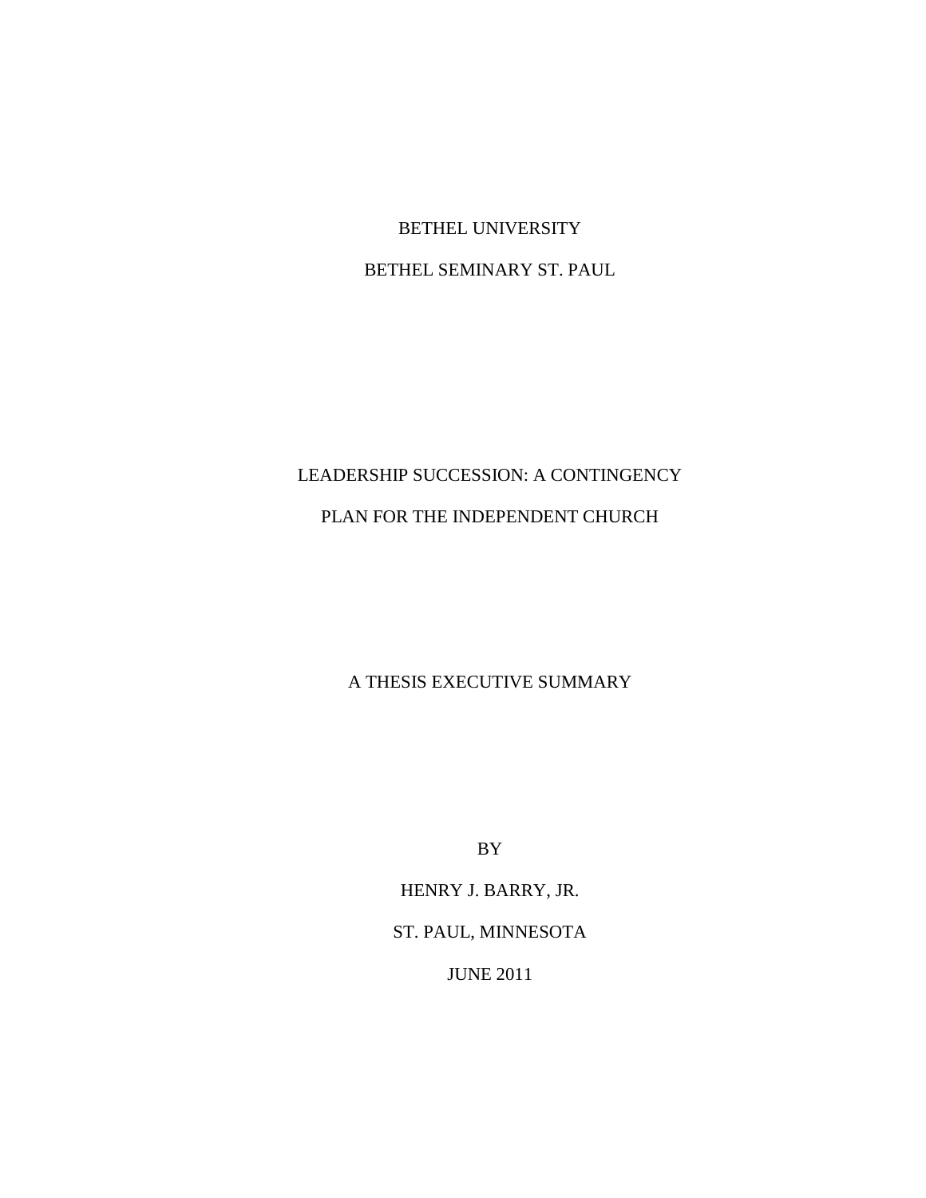BETHEL UNIVERSITY

BETHEL SEMINARY ST. PAUL

# LEADERSHIP SUCCESSION: A CONTINGENCY PLAN FOR THE INDEPENDENT CHURCH

A THESIS EXECUTIVE SUMMARY

BY

HENRY J. BARRY, JR.

ST. PAUL, MINNESOTA

JUNE 2011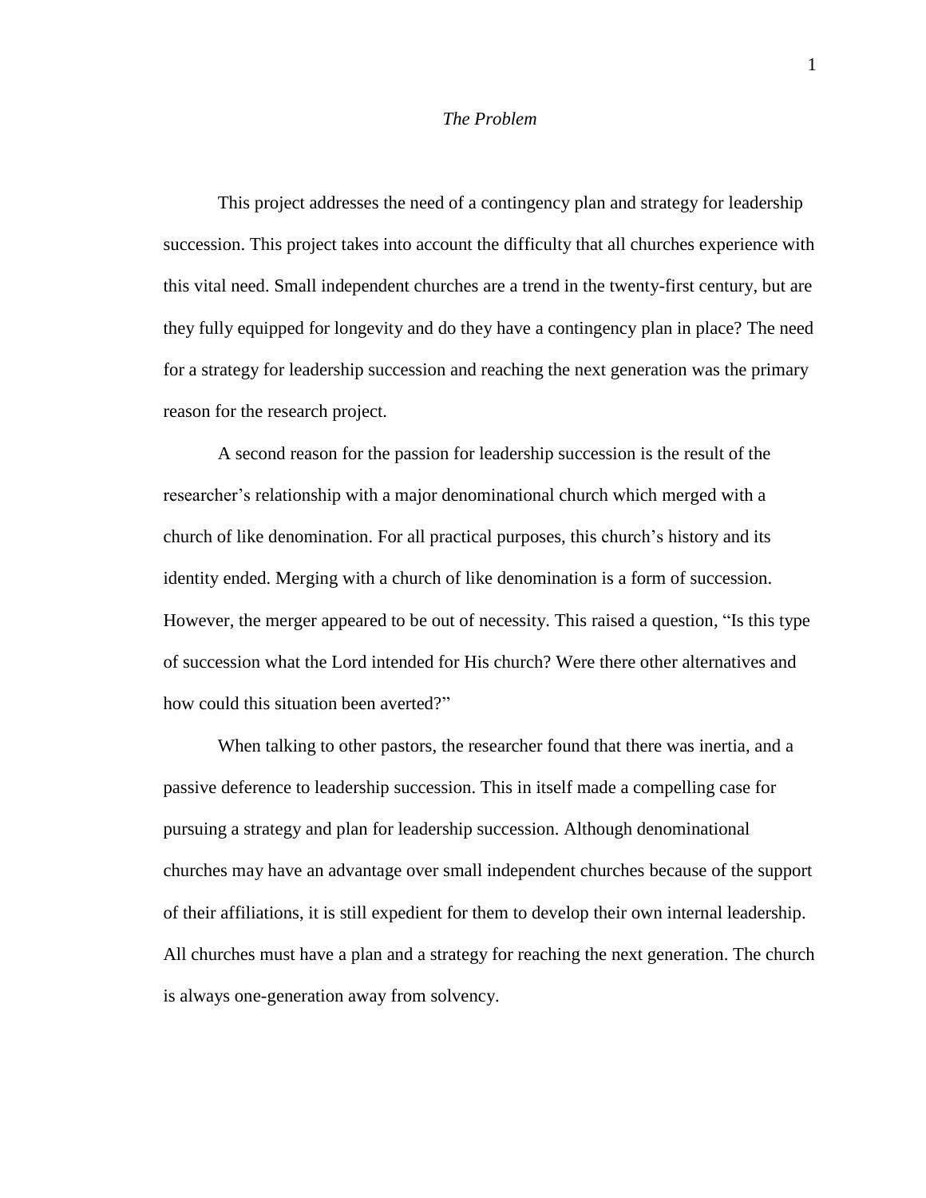# *The Problem*

This project addresses the need of a contingency plan and strategy for leadership succession. This project takes into account the difficulty that all churches experience with this vital need. Small independent churches are a trend in the twenty-first century, but are they fully equipped for longevity and do they have a contingency plan in place? The need for a strategy for leadership succession and reaching the next generation was the primary reason for the research project.

A second reason for the passion for leadership succession is the result of the researcher's relationship with a major denominational church which merged with a church of like denomination. For all practical purposes, this church's history and its identity ended. Merging with a church of like denomination is a form of succession. However, the merger appeared to be out of necessity. This raised a question, "Is this type of succession what the Lord intended for His church? Were there other alternatives and how could this situation been averted?"

When talking to other pastors, the researcher found that there was inertia, and a passive deference to leadership succession. This in itself made a compelling case for pursuing a strategy and plan for leadership succession. Although denominational churches may have an advantage over small independent churches because of the support of their affiliations, it is still expedient for them to develop their own internal leadership. All churches must have a plan and a strategy for reaching the next generation. The church is always one-generation away from solvency.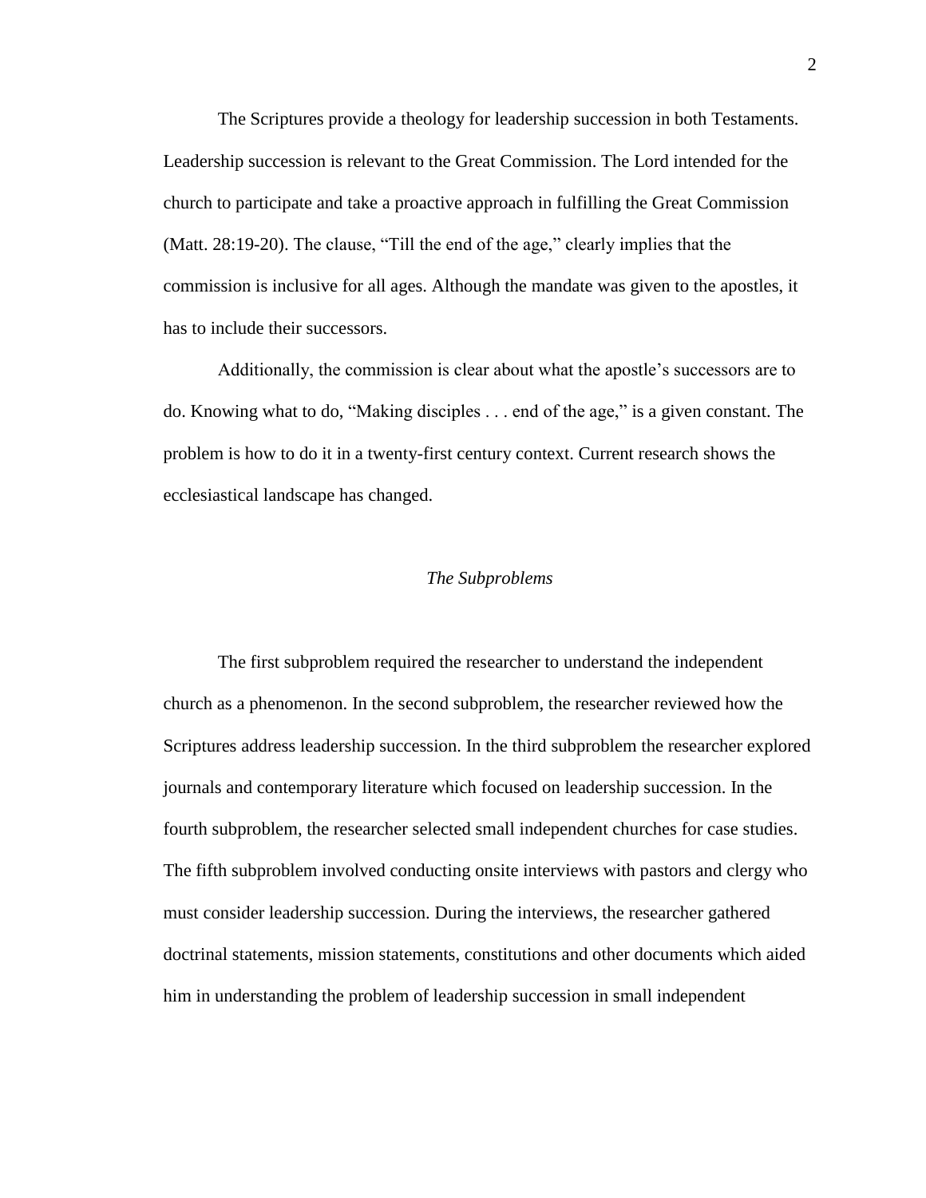The Scriptures provide a theology for leadership succession in both Testaments. Leadership succession is relevant to the Great Commission. The Lord intended for the church to participate and take a proactive approach in fulfilling the Great Commission (Matt. 28:19-20). The clause, "Till the end of the age," clearly implies that the commission is inclusive for all ages. Although the mandate was given to the apostles, it has to include their successors.

Additionally, the commission is clear about what the apostle's successors are to do. Knowing what to do, "Making disciples . . . end of the age," is a given constant. The problem is how to do it in a twenty-first century context. Current research shows the ecclesiastical landscape has changed.

# *The Subproblems*

The first subproblem required the researcher to understand the independent church as a phenomenon. In the second subproblem, the researcher reviewed how the Scriptures address leadership succession. In the third subproblem the researcher explored journals and contemporary literature which focused on leadership succession. In the fourth subproblem, the researcher selected small independent churches for case studies. The fifth subproblem involved conducting onsite interviews with pastors and clergy who must consider leadership succession. During the interviews, the researcher gathered doctrinal statements, mission statements, constitutions and other documents which aided him in understanding the problem of leadership succession in small independent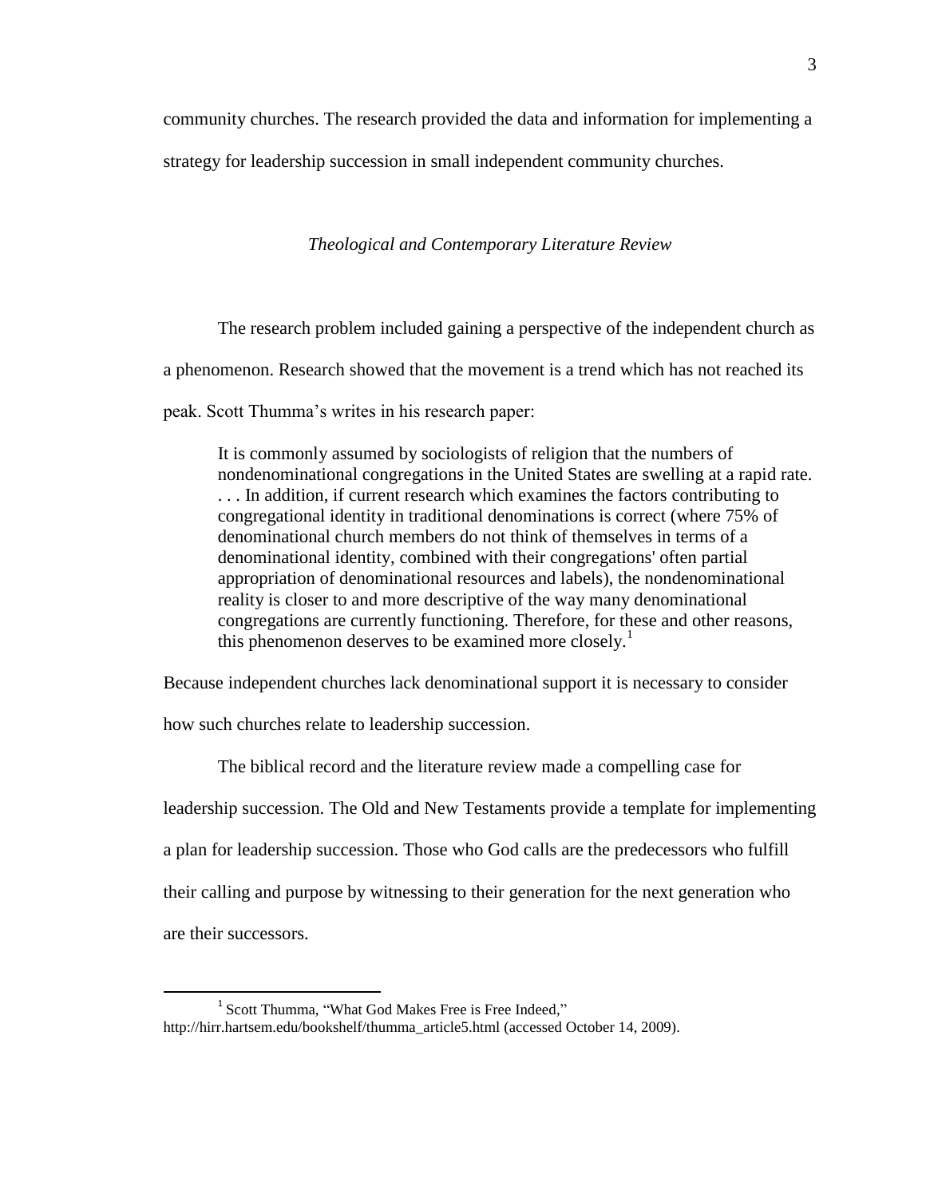community churches. The research provided the data and information for implementing a

strategy for leadership succession in small independent community churches.

*Theological and Contemporary Literature Review*

The research problem included gaining a perspective of the independent church as a phenomenon. Research showed that the movement is a trend which has not reached its

peak. Scott Thumma's writes in his research paper:

It is commonly assumed by sociologists of religion that the numbers of nondenominational congregations in the United States are swelling at a rapid rate. . . . In addition, if current research which examines the factors contributing to congregational identity in traditional denominations is correct (where 75% of denominational church members do not think of themselves in terms of a denominational identity, combined with their congregations' often partial appropriation of denominational resources and labels), the nondenominational reality is closer to and more descriptive of the way many denominational congregations are currently functioning. Therefore, for these and other reasons, this phenomenon deserves to be examined more closely.<sup>1</sup>

Because independent churches lack denominational support it is necessary to consider

how such churches relate to leadership succession.

 $\overline{a}$ 

The biblical record and the literature review made a compelling case for leadership succession. The Old and New Testaments provide a template for implementing a plan for leadership succession. Those who God calls are the predecessors who fulfill their calling and purpose by witnessing to their generation for the next generation who are their successors.

<sup>&</sup>lt;sup>1</sup> Scott Thumma, "What God Makes Free is Free Indeed," http://hirr.hartsem.edu[/bookshelf/thumma\\_article5.html](http://hirr.hartsem.edu/bookshelf/thumma_article5.html) (accessed October 14, 2009).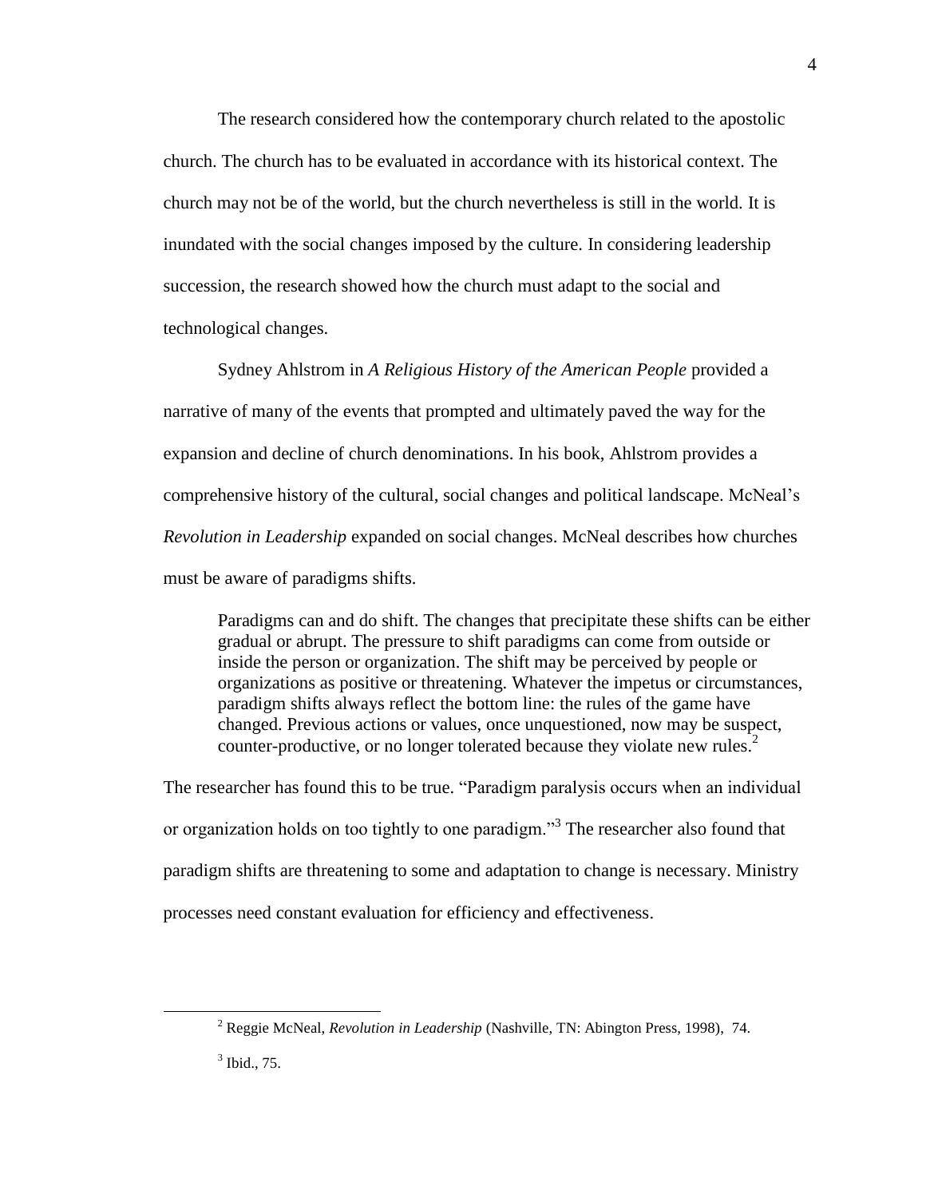The research considered how the contemporary church related to the apostolic church. The church has to be evaluated in accordance with its historical context. The church may not be of the world, but the church nevertheless is still in the world. It is inundated with the social changes imposed by the culture. In considering leadership succession, the research showed how the church must adapt to the social and technological changes.

Sydney Ahlstrom in *A Religious History of the American People* provided a narrative of many of the events that prompted and ultimately paved the way for the expansion and decline of church denominations. In his book, Ahlstrom provides a comprehensive history of the cultural, social changes and political landscape. McNeal's *Revolution in Leadership* expanded on social changes. McNeal describes how churches must be aware of paradigms shifts.

Paradigms can and do shift. The changes that precipitate these shifts can be either gradual or abrupt. The pressure to shift paradigms can come from outside or inside the person or organization. The shift may be perceived by people or organizations as positive or threatening. Whatever the impetus or circumstances, paradigm shifts always reflect the bottom line: the rules of the game have changed. Previous actions or values, once unquestioned, now may be suspect, counter-productive, or no longer tolerated because they violate new rules.<sup>2</sup>

The researcher has found this to be true. "Paradigm paralysis occurs when an individual or organization holds on too tightly to one paradigm."<sup>3</sup> The researcher also found that paradigm shifts are threatening to some and adaptation to change is necessary. Ministry processes need constant evaluation for efficiency and effectiveness.

4

<sup>2</sup> Reggie McNeal, *Revolution in Leadership* (Nashville, TN: Abington Press, 1998), 74.

<sup>3</sup> Ibid., 75.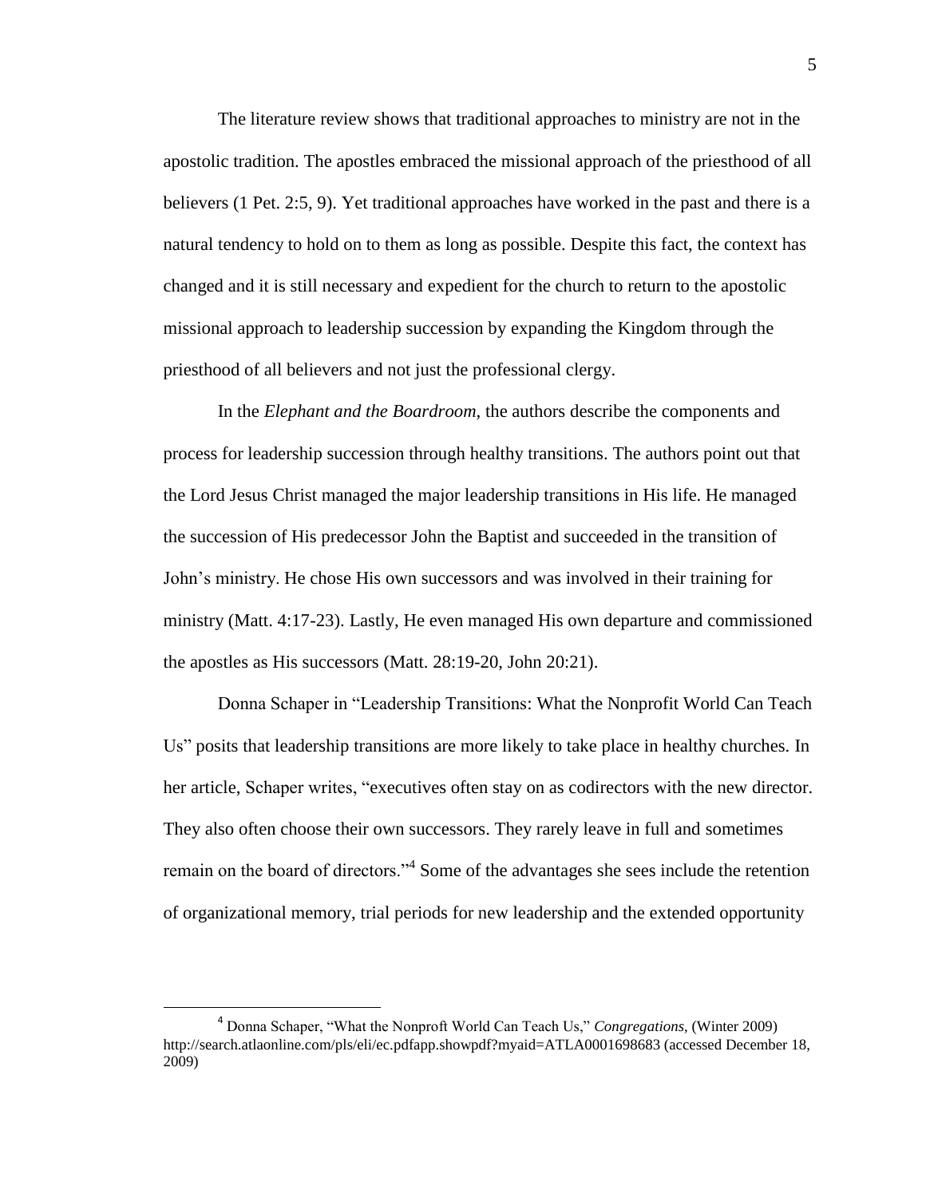The literature review shows that traditional approaches to ministry are not in the apostolic tradition. The apostles embraced the missional approach of the priesthood of all believers (1 Pet. 2:5, 9). Yet traditional approaches have worked in the past and there is a natural tendency to hold on to them as long as possible. Despite this fact, the context has changed and it is still necessary and expedient for the church to return to the apostolic missional approach to leadership succession by expanding the Kingdom through the priesthood of all believers and not just the professional clergy.

In the *Elephant and the Boardroom*, the authors describe the components and process for leadership succession through healthy transitions. The authors point out that the Lord Jesus Christ managed the major leadership transitions in His life. He managed the succession of His predecessor John the Baptist and succeeded in the transition of John's ministry. He chose His own successors and was involved in their training for ministry (Matt. 4:17-23). Lastly, He even managed His own departure and commissioned the apostles as His successors (Matt. 28:19-20, John 20:21).

Donna Schaper in "Leadership Transitions: What the Nonprofit World Can Teach Us" posits that leadership transitions are more likely to take place in healthy churches. In her article, Schaper writes, "executives often stay on as codirectors with the new director. They also often choose their own successors. They rarely leave in full and sometimes remain on the board of directors."<sup>4</sup> Some of the advantages she sees include the retention of organizational memory, trial periods for new leadership and the extended opportunity

<sup>4</sup> Donna Schaper, "What the Nonproft World Can Teach Us," *Congregations*, (Winter 2009) http://search.atlaonline.com/pls/eli/ec.pdfapp.showpdf?myaid=ATLA0001698683 (accessed December 18, 2009)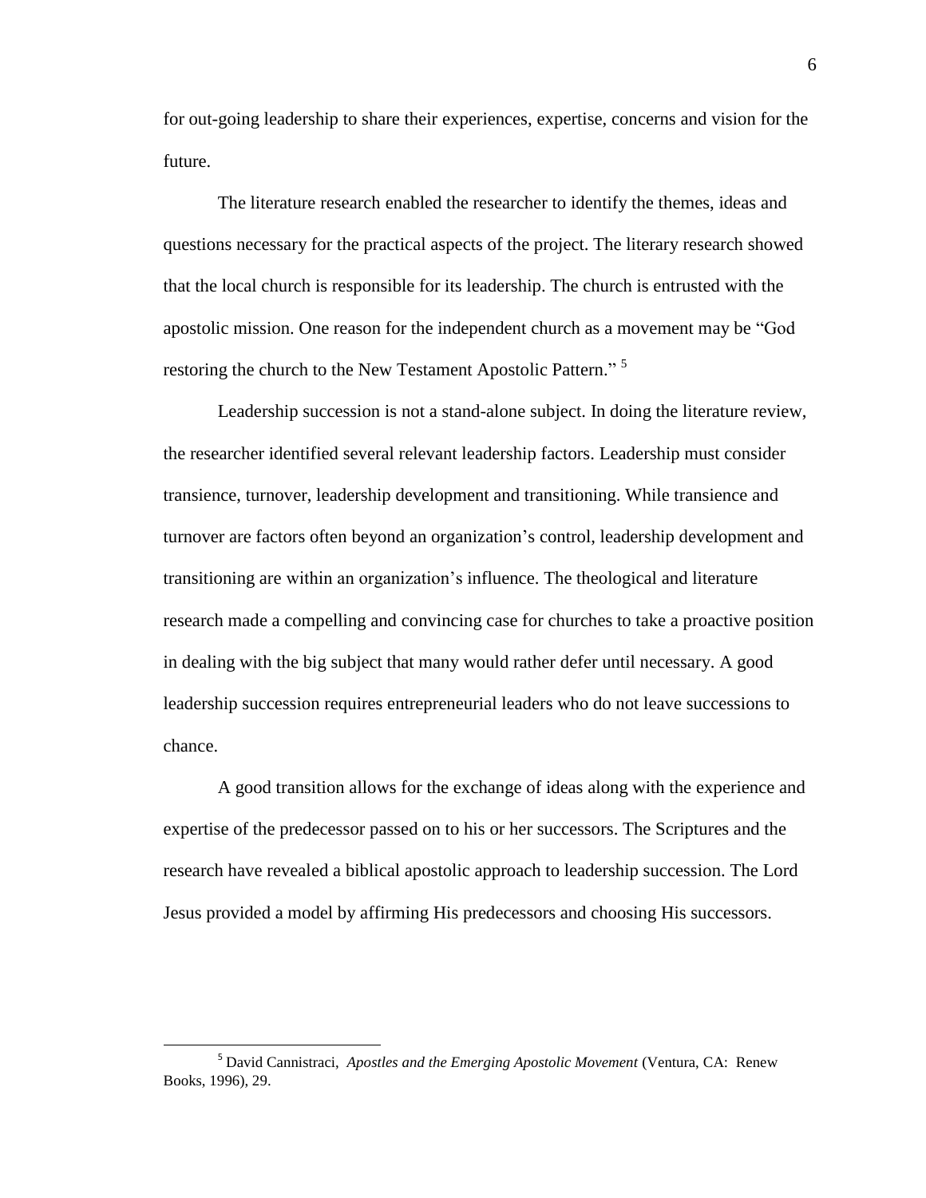for out-going leadership to share their experiences, expertise, concerns and vision for the future.

The literature research enabled the researcher to identify the themes, ideas and questions necessary for the practical aspects of the project. The literary research showed that the local church is responsible for its leadership. The church is entrusted with the apostolic mission. One reason for the independent church as a movement may be "God restoring the church to the New Testament Apostolic Pattern."<sup>5</sup>

Leadership succession is not a stand-alone subject. In doing the literature review, the researcher identified several relevant leadership factors. Leadership must consider transience, turnover, leadership development and transitioning. While transience and turnover are factors often beyond an organization's control, leadership development and transitioning are within an organization's influence. The theological and literature research made a compelling and convincing case for churches to take a proactive position in dealing with the big subject that many would rather defer until necessary. A good leadership succession requires entrepreneurial leaders who do not leave successions to chance.

A good transition allows for the exchange of ideas along with the experience and expertise of the predecessor passed on to his or her successors. The Scriptures and the research have revealed a biblical apostolic approach to leadership succession. The Lord Jesus provided a model by affirming His predecessors and choosing His successors.

l

<sup>5</sup> David Cannistraci, *Apostles and the Emerging Apostolic Movement* (Ventura, CA: Renew Books, 1996), 29.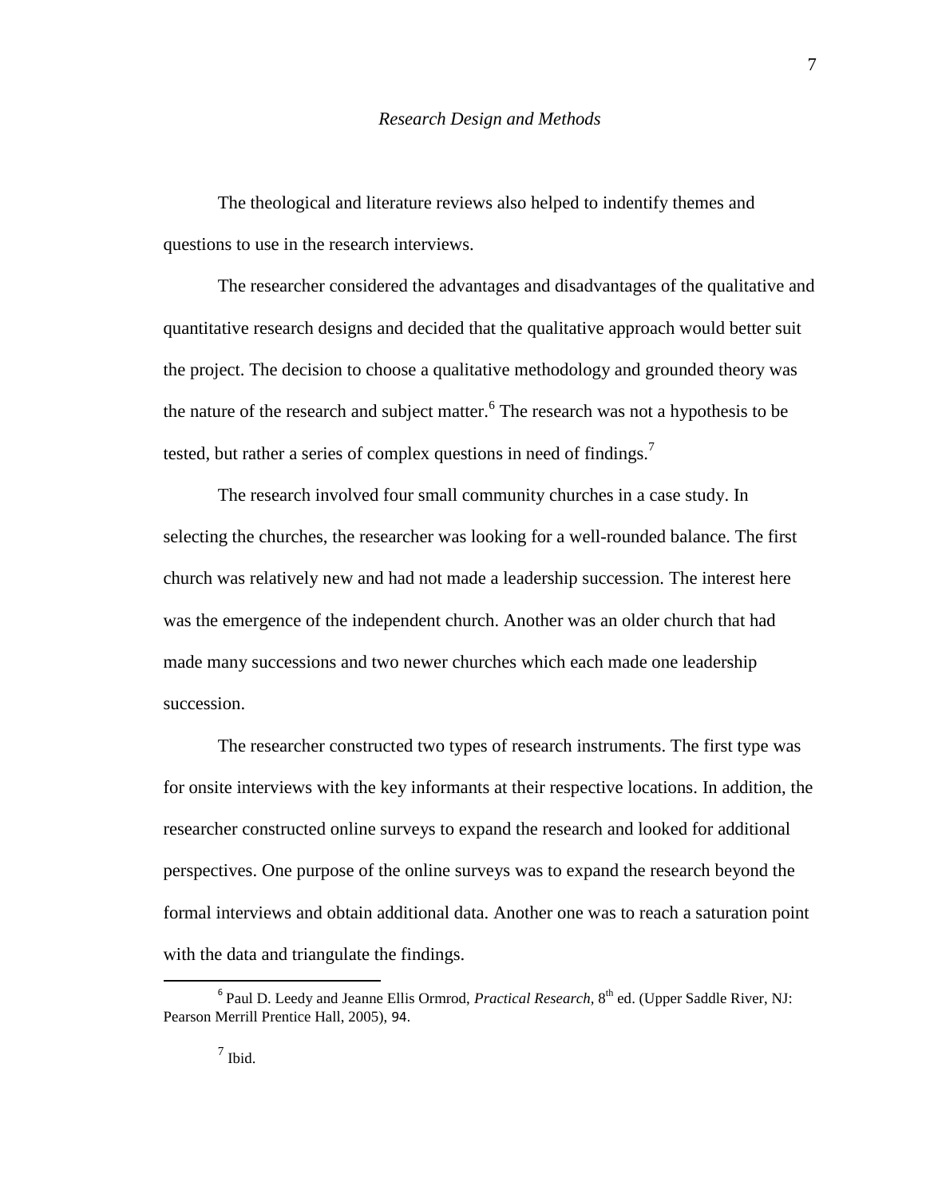The theological and literature reviews also helped to indentify themes and questions to use in the research interviews.

The researcher considered the advantages and disadvantages of the qualitative and quantitative research designs and decided that the qualitative approach would better suit the project. The decision to choose a qualitative methodology and grounded theory was the nature of the research and subject matter.  $6$  The research was not a hypothesis to be tested, but rather a series of complex questions in need of findings.<sup>7</sup>

The research involved four small community churches in a case study. In selecting the churches, the researcher was looking for a well-rounded balance. The first church was relatively new and had not made a leadership succession. The interest here was the emergence of the independent church. Another was an older church that had made many successions and two newer churches which each made one leadership succession.

The researcher constructed two types of research instruments. The first type was for onsite interviews with the key informants at their respective locations. In addition, the researcher constructed online surveys to expand the research and looked for additional perspectives. One purpose of the online surveys was to expand the research beyond the formal interviews and obtain additional data. Another one was to reach a saturation point with the data and triangulate the findings.

<sup>&</sup>lt;sup>6</sup> Paul D. Leedy and Jeanne Ellis Ormrod, *Practical Research*, 8<sup>th</sup> ed. (Upper Saddle River, NJ: Pearson Merrill Prentice Hall, 2005), 94.

 $<sup>7</sup>$  Ibid.</sup>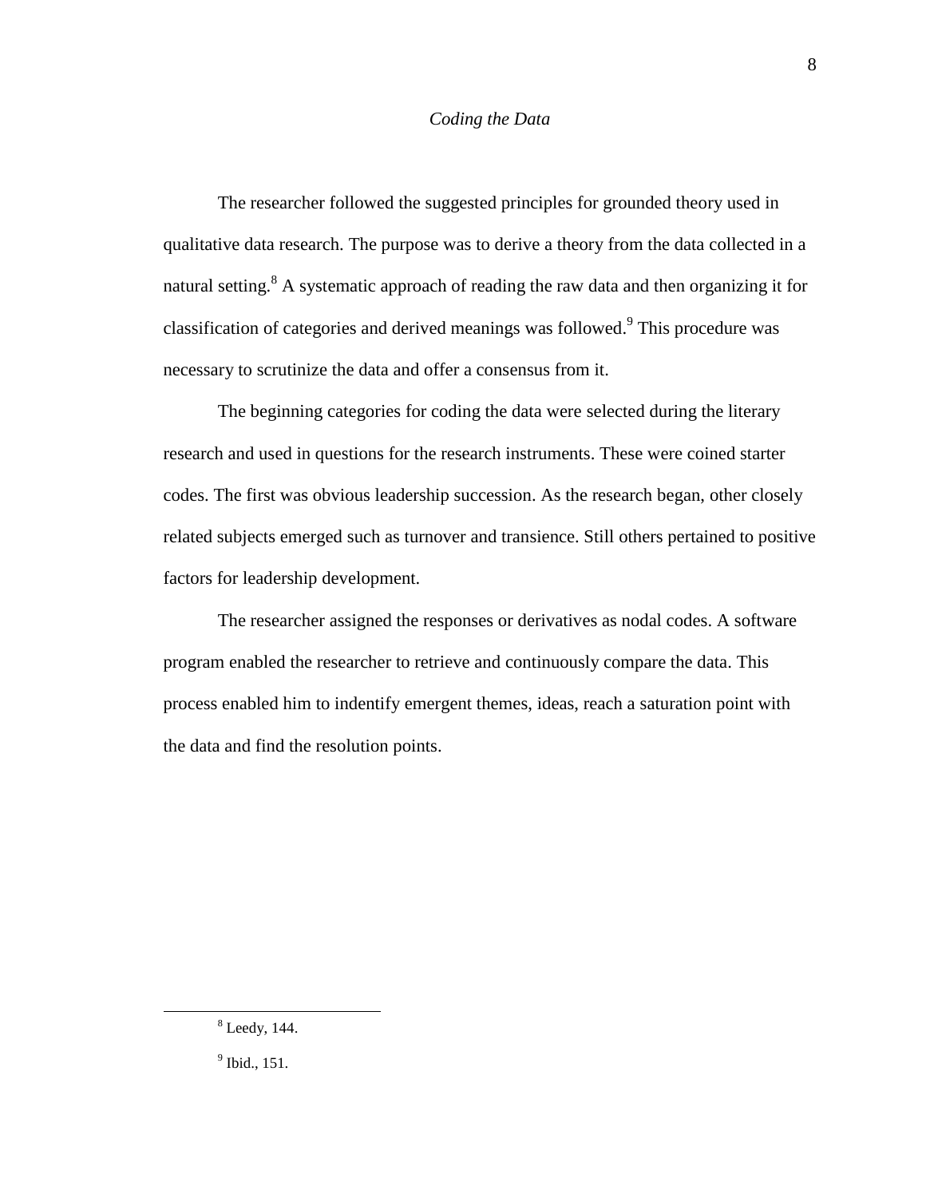# *Coding the Data*

The researcher followed the suggested principles for grounded theory used in qualitative data research. The purpose was to derive a theory from the data collected in a natural setting.<sup>8</sup> A systematic approach of reading the raw data and then organizing it for classification of categories and derived meanings was followed. 9 This procedure was necessary to scrutinize the data and offer a consensus from it.

The beginning categories for coding the data were selected during the literary research and used in questions for the research instruments. These were coined starter codes. The first was obvious leadership succession. As the research began, other closely related subjects emerged such as turnover and transience. Still others pertained to positive factors for leadership development.

The researcher assigned the responses or derivatives as nodal codes. A software program enabled the researcher to retrieve and continuously compare the data. This process enabled him to indentify emergent themes, ideas, reach a saturation point with the data and find the resolution points.

 $8$  Leedy, 144.

<sup>&</sup>lt;sup>9</sup> Ibid., 151.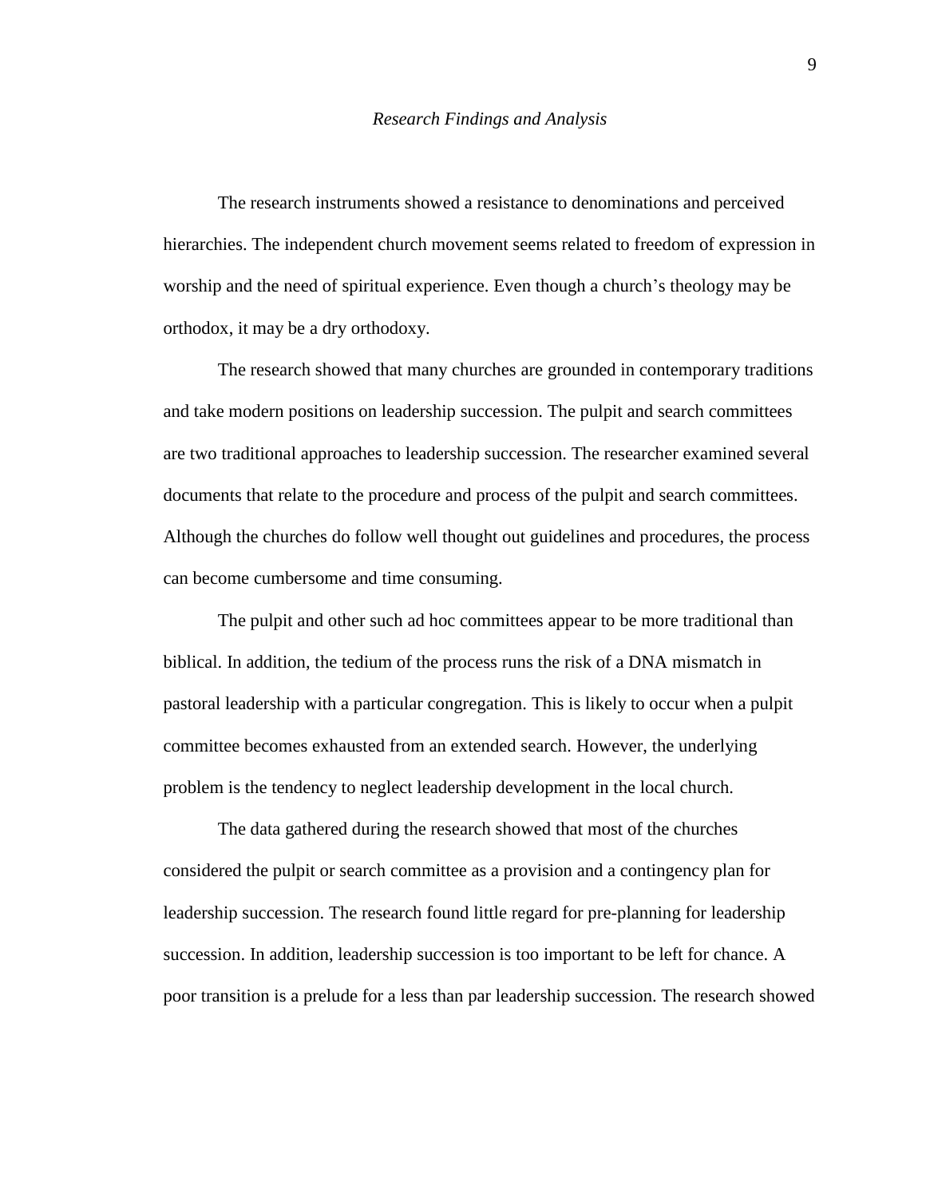#### *Research Findings and Analysis*

The research instruments showed a resistance to denominations and perceived hierarchies. The independent church movement seems related to freedom of expression in worship and the need of spiritual experience. Even though a church's theology may be orthodox, it may be a dry orthodoxy.

The research showed that many churches are grounded in contemporary traditions and take modern positions on leadership succession. The pulpit and search committees are two traditional approaches to leadership succession. The researcher examined several documents that relate to the procedure and process of the pulpit and search committees. Although the churches do follow well thought out guidelines and procedures, the process can become cumbersome and time consuming.

The pulpit and other such ad hoc committees appear to be more traditional than biblical. In addition, the tedium of the process runs the risk of a DNA mismatch in pastoral leadership with a particular congregation. This is likely to occur when a pulpit committee becomes exhausted from an extended search. However, the underlying problem is the tendency to neglect leadership development in the local church.

The data gathered during the research showed that most of the churches considered the pulpit or search committee as a provision and a contingency plan for leadership succession. The research found little regard for pre-planning for leadership succession. In addition, leadership succession is too important to be left for chance. A poor transition is a prelude for a less than par leadership succession. The research showed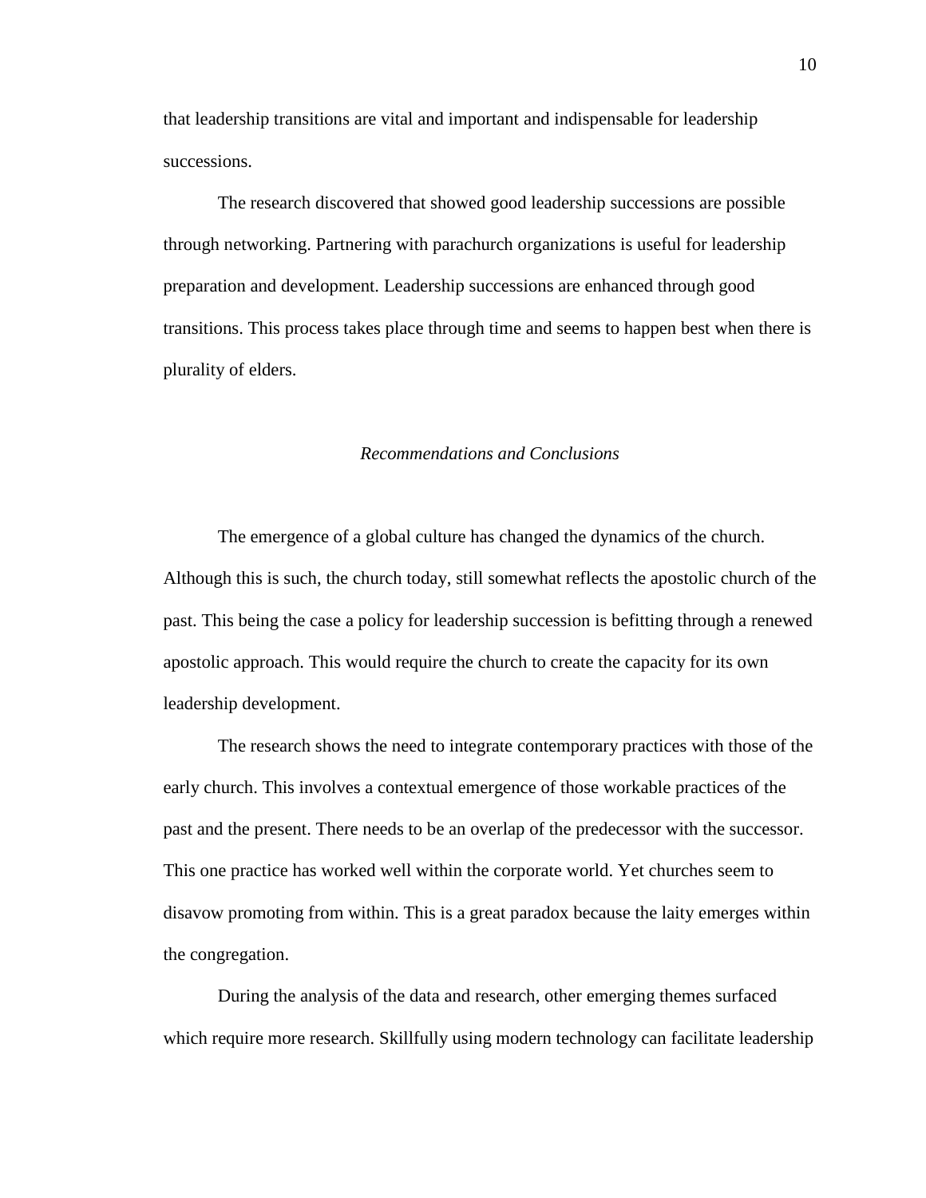that leadership transitions are vital and important and indispensable for leadership successions.

The research discovered that showed good leadership successions are possible through networking. Partnering with parachurch organizations is useful for leadership preparation and development. Leadership successions are enhanced through good transitions. This process takes place through time and seems to happen best when there is plurality of elders.

# *Recommendations and Conclusions*

The emergence of a global culture has changed the dynamics of the church. Although this is such, the church today, still somewhat reflects the apostolic church of the past. This being the case a policy for leadership succession is befitting through a renewed apostolic approach. This would require the church to create the capacity for its own leadership development.

The research shows the need to integrate contemporary practices with those of the early church. This involves a contextual emergence of those workable practices of the past and the present. There needs to be an overlap of the predecessor with the successor. This one practice has worked well within the corporate world. Yet churches seem to disavow promoting from within. This is a great paradox because the laity emerges within the congregation.

During the analysis of the data and research, other emerging themes surfaced which require more research. Skillfully using modern technology can facilitate leadership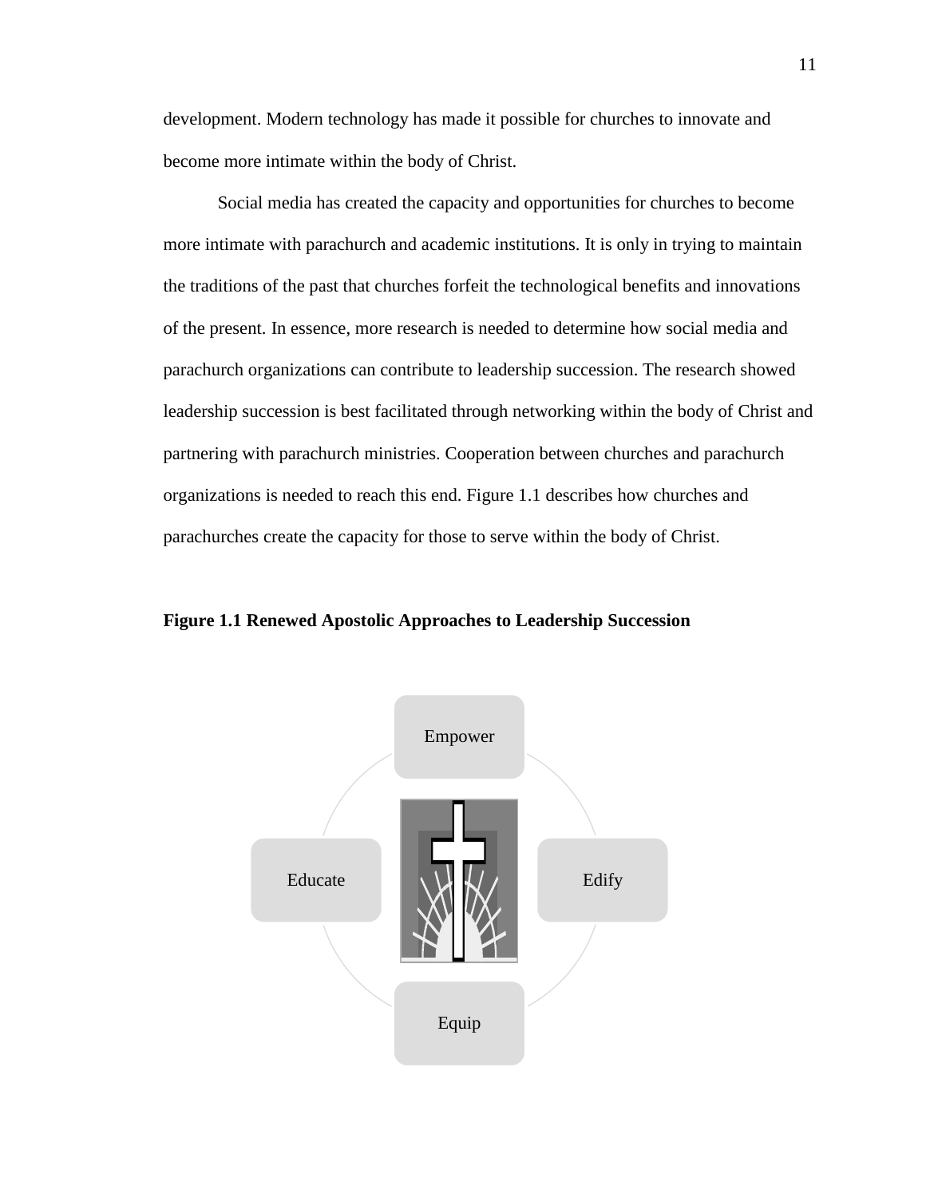development. Modern technology has made it possible for churches to innovate and become more intimate within the body of Christ.

Social media has created the capacity and opportunities for churches to become more intimate with parachurch and academic institutions. It is only in trying to maintain the traditions of the past that churches forfeit the technological benefits and innovations of the present. In essence, more research is needed to determine how social media and parachurch organizations can contribute to leadership succession. The research showed leadership succession is best facilitated through networking within the body of Christ and partnering with parachurch ministries. Cooperation between churches and parachurch organizations is needed to reach this end. Figure 1.1 describes how churches and parachurches create the capacity for those to serve within the body of Christ.

**Figure 1.1 Renewed Apostolic Approaches to Leadership Succession** 

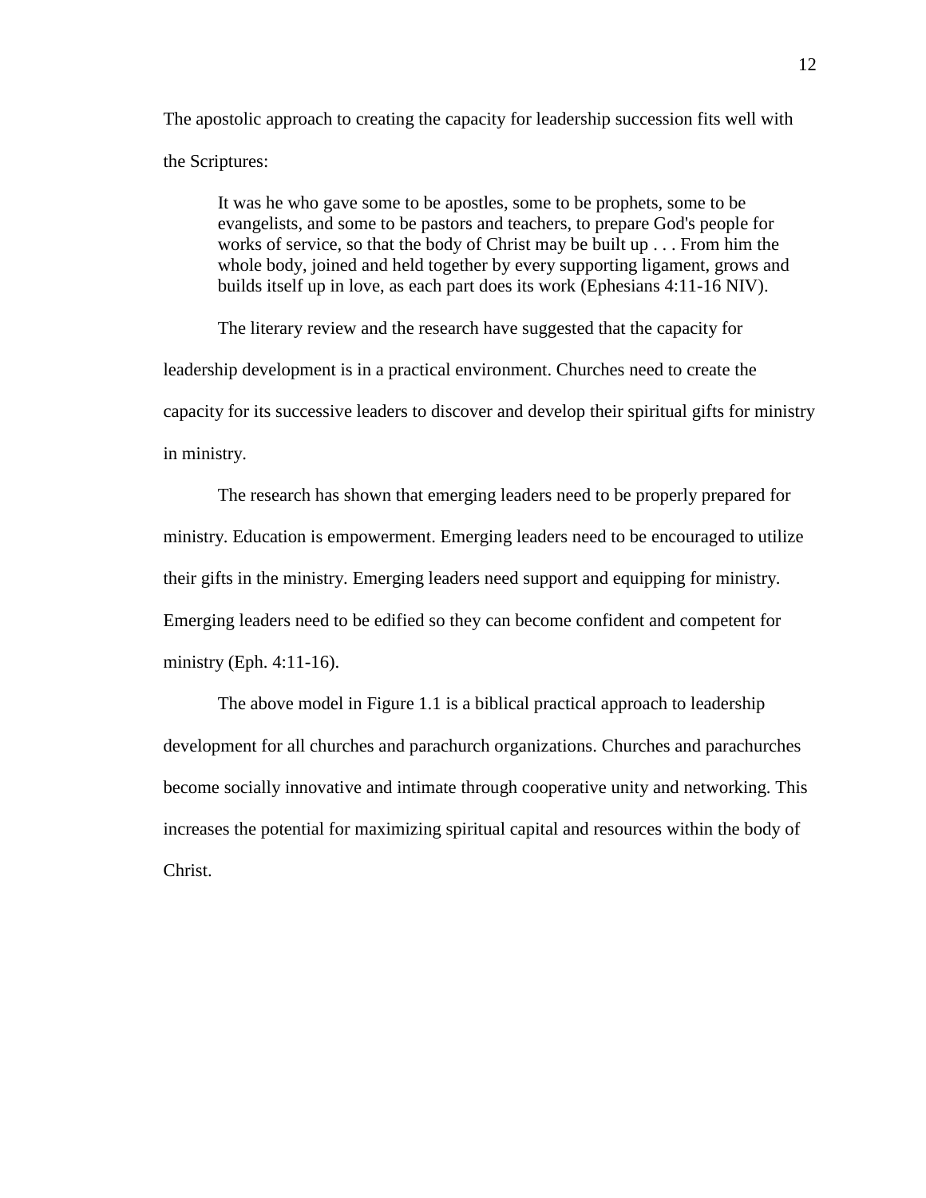The apostolic approach to creating the capacity for leadership succession fits well with the Scriptures:

It was he who gave some to be apostles, some to be prophets, some to be evangelists, and some to be pastors and teachers, to prepare God's people for works of service, so that the body of Christ may be built up . . . From him the whole body, joined and held together by every supporting ligament, grows and builds itself up in love, as each part does its work (Ephesians 4:11-16 NIV).

The literary review and the research have suggested that the capacity for leadership development is in a practical environment. Churches need to create the capacity for its successive leaders to discover and develop their spiritual gifts for ministry in ministry.

The research has shown that emerging leaders need to be properly prepared for ministry. Education is empowerment. Emerging leaders need to be encouraged to utilize their gifts in the ministry. Emerging leaders need support and equipping for ministry. Emerging leaders need to be edified so they can become confident and competent for ministry (Eph. 4:11-16).

The above model in Figure 1.1 is a biblical practical approach to leadership development for all churches and parachurch organizations. Churches and parachurches become socially innovative and intimate through cooperative unity and networking. This increases the potential for maximizing spiritual capital and resources within the body of Christ.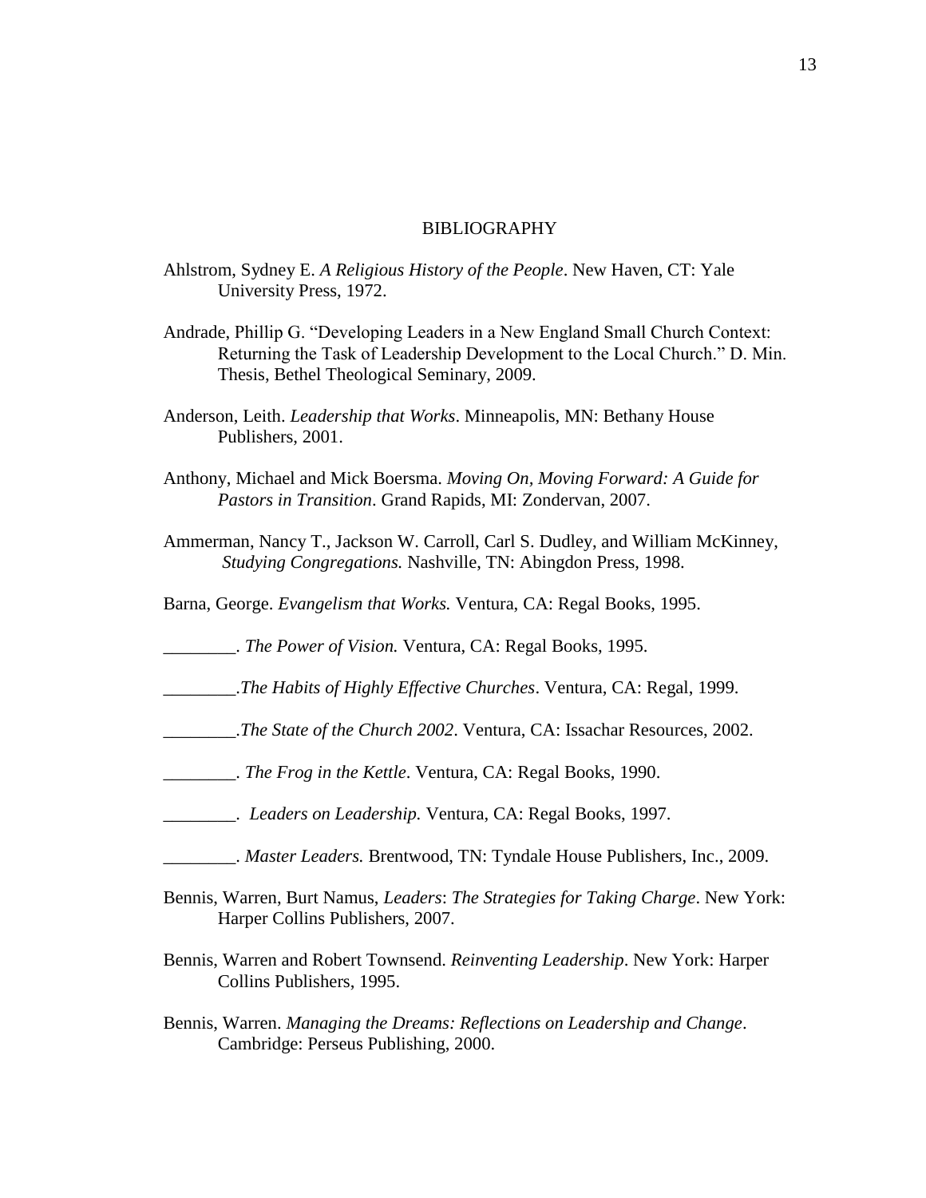## BIBLIOGRAPHY

- Ahlstrom, Sydney E. *A Religious History of the People*. New Haven, CT: Yale University Press, 1972.
- Andrade, Phillip G. "Developing Leaders in a New England Small Church Context: Returning the Task of Leadership Development to the Local Church." D. Min. Thesis, Bethel Theological Seminary, 2009.
- Anderson, Leith. *Leadership that Works*. Minneapolis, MN: Bethany House Publishers, 2001.
- Anthony, Michael and Mick Boersma. *Moving On, Moving Forward: A Guide for Pastors in Transition*. Grand Rapids, MI: Zondervan, 2007.
- Ammerman, Nancy T., Jackson W. Carroll, Carl S. Dudley, and William McKinney, *Studying Congregations.* Nashville, TN: Abingdon Press, 1998.
- Barna, George. *Evangelism that Works.* Ventura, CA: Regal Books, 1995.

\_\_\_\_\_\_\_\_. *The Power of Vision.* Ventura, CA: Regal Books, 1995.

- \_\_\_\_\_\_\_\_.*The Habits of Highly Effective Churches*. Ventura, CA: Regal, 1999.
- \_\_\_\_\_\_\_\_.*The State of the Church 2002*. Ventura, CA: Issachar Resources, 2002.
- \_\_\_\_\_\_\_\_. *The Frog in the Kettle*. Ventura, CA: Regal Books, 1990.
- \_\_\_\_\_\_\_\_. *Leaders on Leadership.* Ventura, CA: Regal Books, 1997.
- \_\_\_\_\_\_\_\_. *Master Leaders.* Brentwood, TN: Tyndale House Publishers, Inc., 2009.
- Bennis, Warren, Burt Namus, *Leaders*: *The Strategies for Taking Charge*. New York: Harper Collins Publishers, 2007.
- Bennis, Warren and Robert Townsend. *Reinventing Leadership*. New York: Harper Collins Publishers, 1995.
- Bennis, Warren. *Managing the Dreams: Reflections on Leadership and Change*. Cambridge: Perseus Publishing, 2000.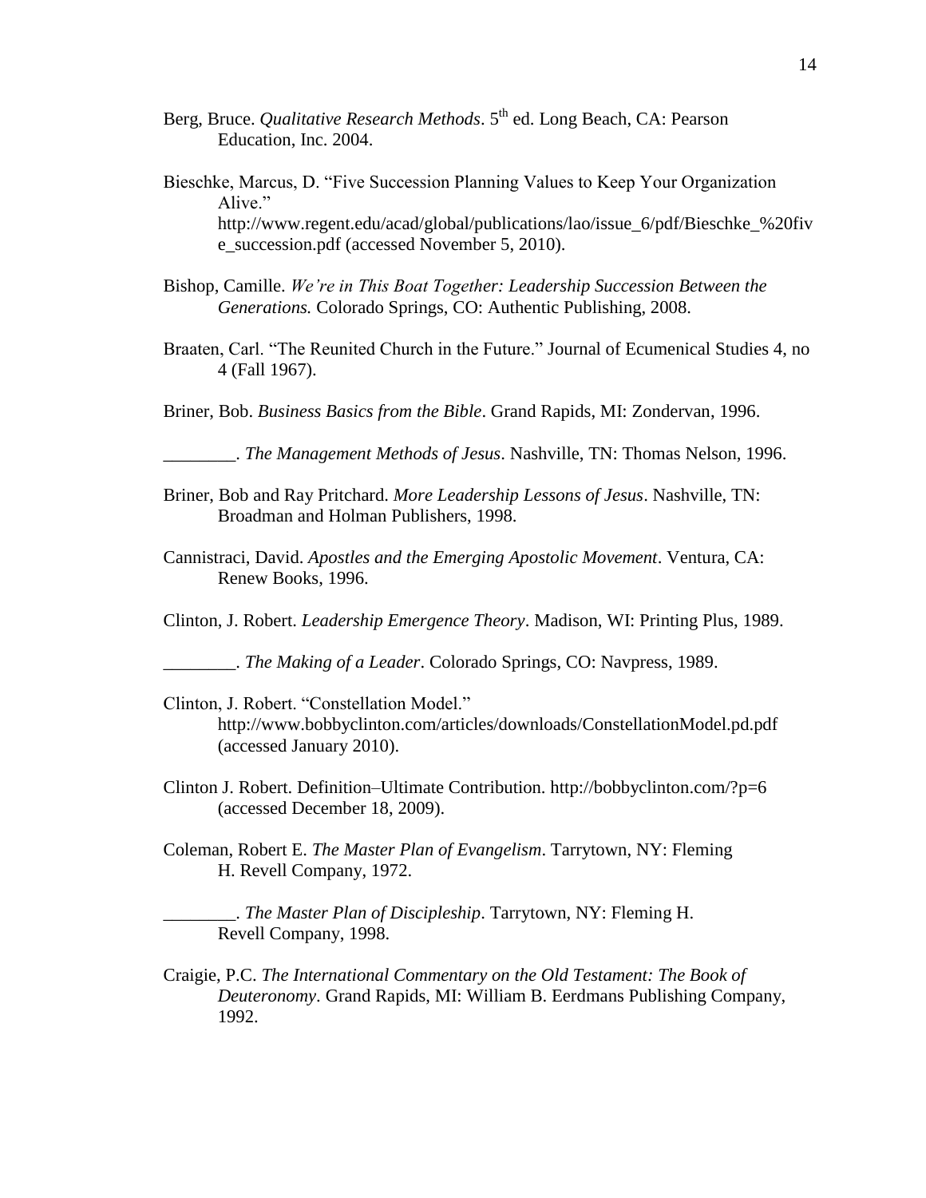- Berg, Bruce. *Qualitative Research Methods*. 5<sup>th</sup> ed. Long Beach, CA: Pearson Education, Inc. 2004.
- Bieschke, Marcus, D. "Five Succession Planning Values to Keep Your Organization Alive." http://www.regent.edu/acad/global/publications/lao/issue\_6/pdf/Bieschke\_%20fiv e\_succession.pdf (accessed November 5, 2010).
- Bishop, Camille. *We're in This Boat Together: Leadership Succession Between the Generations.* Colorado Springs, CO: Authentic Publishing, 2008.
- Braaten, Carl. "The Reunited Church in the Future." Journal of Ecumenical Studies 4, no 4 (Fall 1967).
- Briner, Bob. *Business Basics from the Bible*. Grand Rapids, MI: Zondervan, 1996.

\_\_\_\_\_\_\_\_. *The Management Methods of Jesus*. Nashville, TN: Thomas Nelson, 1996.

- Briner, Bob and Ray Pritchard. *More Leadership Lessons of Jesus*. Nashville, TN: Broadman and Holman Publishers, 1998.
- Cannistraci, David. *Apostles and the Emerging Apostolic Movement*. Ventura, CA: Renew Books, 1996.

Clinton, J. Robert. *Leadership Emergence Theory*. Madison, WI: Printing Plus, 1989.

\_\_\_\_\_\_\_\_. *The Making of a Leader*. Colorado Springs, CO: Navpress, 1989.

- Clinton, J. Robert. "Constellation Model." http://www.bobbyclinton.com/articles/downloads/ConstellationModel.pd.pdf (accessed January 2010).
- Clinton J. Robert. Definition–Ultimate Contribution.<http://bobbyclinton.com/?p=6> (accessed December 18, 2009).
- Coleman, Robert E. *The Master Plan of Evangelism*. Tarrytown, NY: Fleming H. Revell Company, 1972.

\_\_\_\_\_\_\_\_. *The Master Plan of Discipleship*. Tarrytown, NY: Fleming H. Revell Company, 1998.

Craigie, P.C. *The International Commentary on the Old Testament: The Book of Deuteronomy*. Grand Rapids, MI: William B. Eerdmans Publishing Company, 1992.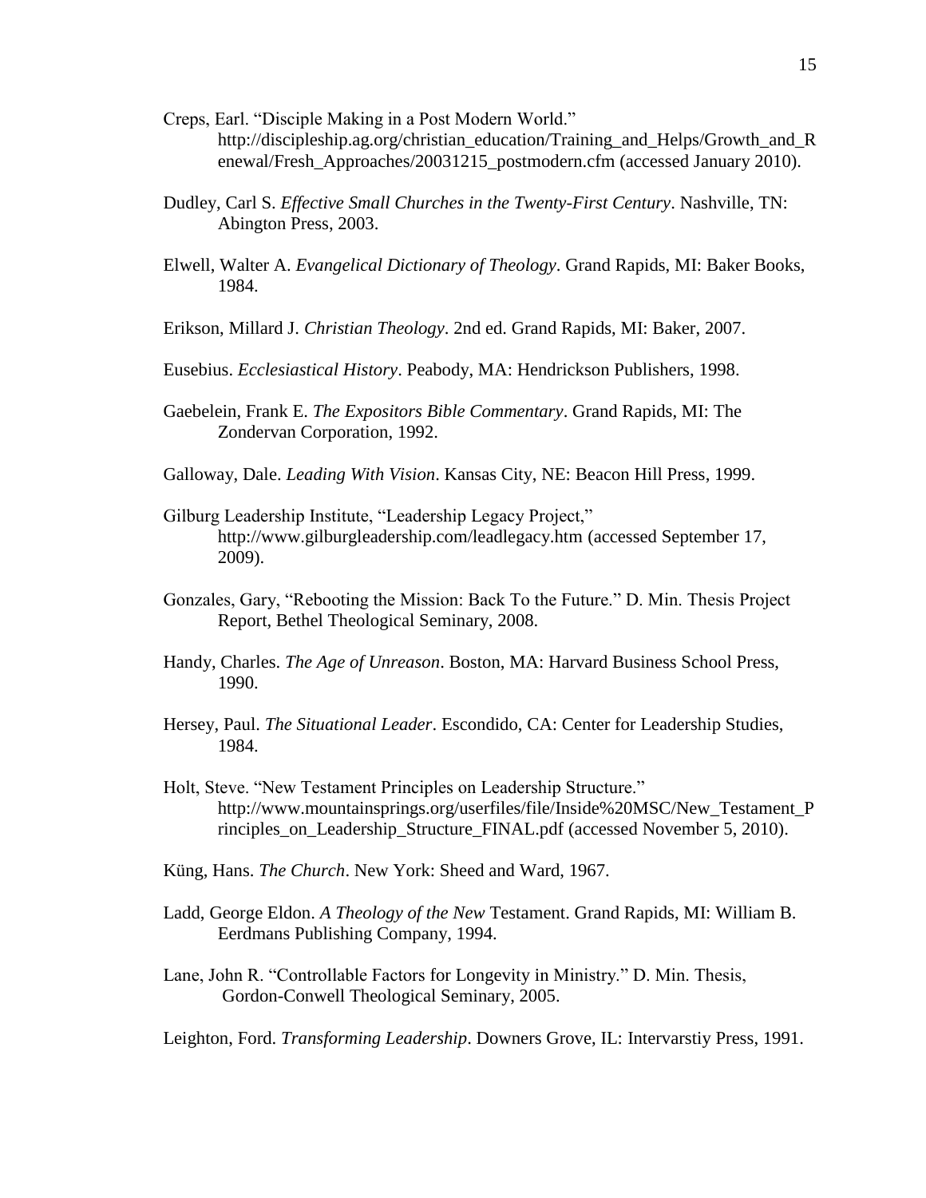- Creps, Earl. "Disciple Making in a Post Modern World." http://discipleship.ag.org/christian\_education/Training\_and\_Helps/Growth\_and\_R enewal/Fresh\_Approaches/20031215\_postmodern.cfm (accessed January 2010).
- Dudley, Carl S. *Effective Small Churches in the Twenty-First Century*. Nashville, TN: Abington Press, 2003.
- Elwell, Walter A. *Evangelical Dictionary of Theology*. Grand Rapids, MI: Baker Books, 1984.
- Erikson, Millard J. *Christian Theology*. 2nd ed. Grand Rapids, MI: Baker, 2007.
- Eusebius. *Ecclesiastical History*. Peabody, MA: Hendrickson Publishers, 1998.
- Gaebelein, Frank E. *The Expositors Bible Commentary*. Grand Rapids, MI: The Zondervan Corporation, 1992.
- Galloway, Dale. *Leading With Vision*. Kansas City, NE: Beacon Hill Press, 1999.
- Gilburg Leadership Institute, "Leadership Legacy Project," http://www.gilburgleadership.com/leadlegacy.htm (accessed September 17, 2009).
- Gonzales, Gary, "Rebooting the Mission: Back To the Future." D. Min. Thesis Project Report, Bethel Theological Seminary, 2008.
- Handy, Charles. *The Age of Unreason*. Boston, MA: Harvard Business School Press, 1990.
- Hersey, Paul. *The Situational Leader*. Escondido, CA: Center for Leadership Studies, 1984.
- Holt, Steve. "New Testament Principles on Leadership Structure." http://www.mountainsprings.org/userfiles/file/Inside%20MSC/New\_Testament\_P rinciples on Leadership Structure FINAL.pdf (accessed November 5, 2010).
- Küng, Hans. *The Church*. New York: Sheed and Ward, 1967.
- Ladd, George Eldon. *A Theology of the New* Testament. Grand Rapids, MI: William B. Eerdmans Publishing Company, 1994.
- Lane, John R. "Controllable Factors for Longevity in Ministry." D. Min. Thesis, Gordon-Conwell Theological Seminary, 2005.

Leighton, Ford. *Transforming Leadership*. Downers Grove, IL: Intervarstiy Press, 1991.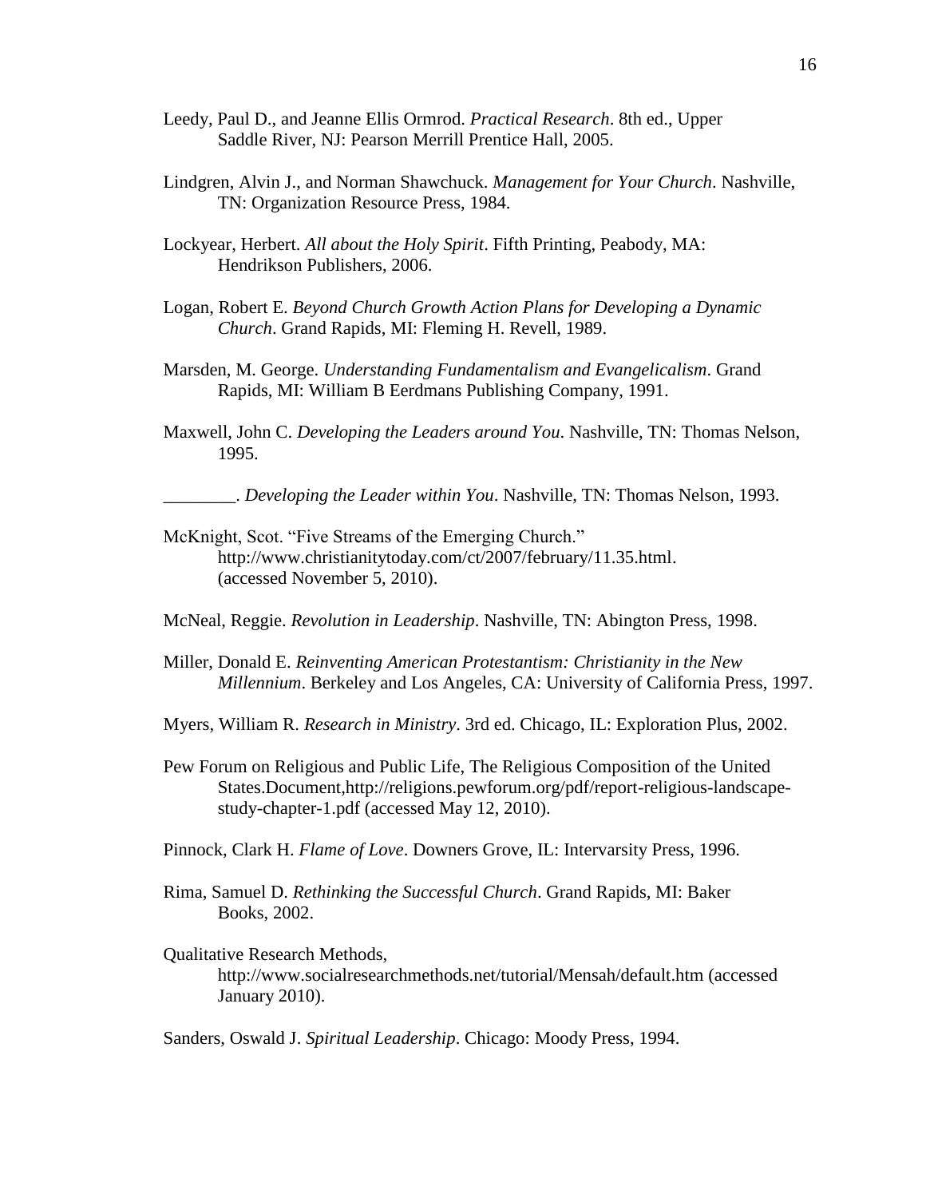- Leedy, Paul D., and Jeanne Ellis Ormrod. *Practical Research*. 8th ed., Upper Saddle River, NJ: Pearson Merrill Prentice Hall, 2005.
- Lindgren, Alvin J., and Norman Shawchuck. *Management for Your Church*. Nashville, TN: Organization Resource Press, 1984.
- Lockyear, Herbert. *All about the Holy Spirit*. Fifth Printing, Peabody, MA: Hendrikson Publishers, 2006.
- Logan, Robert E. *Beyond Church Growth Action Plans for Developing a Dynamic Church*. Grand Rapids, MI: Fleming H. Revell, 1989.
- Marsden, M. George. *Understanding Fundamentalism and Evangelicalism*. Grand Rapids, MI: William B Eerdmans Publishing Company, 1991.
- Maxwell, John C. *Developing the Leaders around You*. Nashville, TN: Thomas Nelson, 1995.

\_\_\_\_\_\_\_\_. *Developing the Leader within You*. Nashville, TN: Thomas Nelson, 1993.

- McKnight, Scot. "Five Streams of the Emerging Church." http://www.christianitytoday.com/ct/2007/february/11.35.html. (accessed November 5, 2010).
- McNeal, Reggie. *Revolution in Leadership*. Nashville, TN: Abington Press, 1998.
- Miller, Donald E. *Reinventing American Protestantism: Christianity in the New Millennium*. Berkeley and Los Angeles, CA: University of California Press, 1997.
- Myers, William R. *Research in Ministry*. 3rd ed. Chicago, IL: Exploration Plus, 2002.
- Pew Forum on Religious and Public Life, The Religious Composition of the United States.Document,http://religions.pewforum.org/pdf/report-religious-landscapestudy-chapter-1.pdf (accessed May 12, 2010).
- Pinnock, Clark H. *Flame of Love*. Downers Grove, IL: Intervarsity Press, 1996.
- Rima, Samuel D. *Rethinking the Successful Church*. Grand Rapids, MI: Baker Books, 2002.

Qualitative Research Methods, http://www.socialresearchmethods.net/tutorial/Mensah/default.htm (accessed January 2010).

Sanders, Oswald J. *Spiritual Leadership*. Chicago: Moody Press, 1994.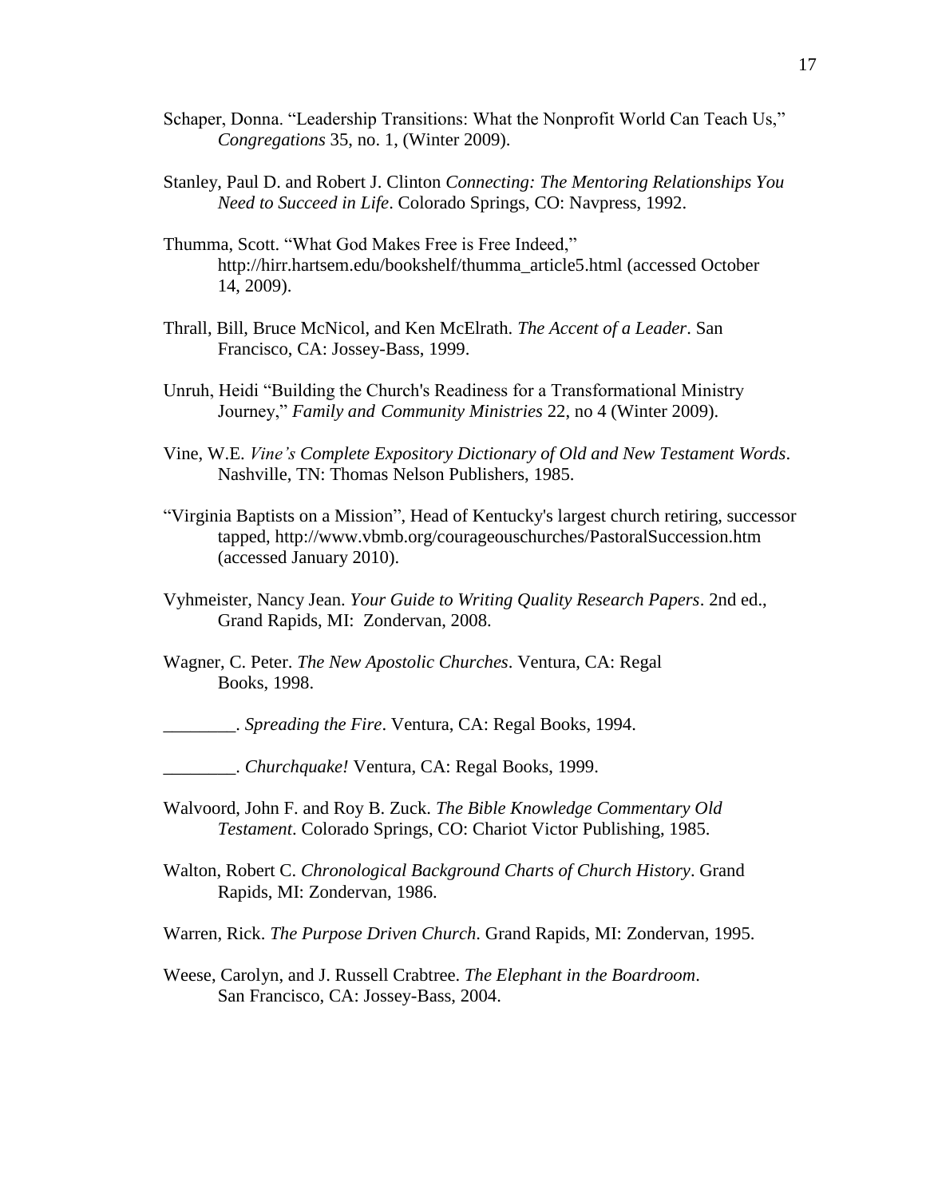- Schaper, Donna. "Leadership Transitions: What the Nonprofit World Can Teach Us," *Congregations* 35, no. 1, (Winter 2009).
- Stanley, Paul D. and Robert J. Clinton *Connecting: The Mentoring Relationships You Need to Succeed in Life*. Colorado Springs, CO: Navpress, 1992.
- Thumma, Scott. "What God Makes Free is Free Indeed," http://hirr.hartsem.edu[/bookshelf/thumma\\_article5.html](http://hirr.hartsem.edu/bookshelf/thumma_article5.html) (accessed October 14, 2009).
- Thrall, Bill, Bruce McNicol, and Ken McElrath. *The Accent of a Leader*. San Francisco, CA: Jossey-Bass, 1999.
- Unruh, Heidi "Building the Church's Readiness for a Transformational Ministry Journey," *Family and Community Ministries* 22, no 4 (Winter 2009).
- Vine, W.E. *Vine's Complete Expository Dictionary of Old and New Testament Words*. Nashville, TN: Thomas Nelson Publishers, 1985.
- "Virginia Baptists on a Mission", Head of Kentucky's largest church retiring, successor tapped, http://www.vbmb.org/courageouschurches/PastoralSuccession.htm (accessed January 2010).
- Vyhmeister, Nancy Jean. *Your Guide to Writing Quality Research Papers*. 2nd ed., Grand Rapids, MI: Zondervan, 2008.
- Wagner, C. Peter. *The New Apostolic Churches*. Ventura, CA: Regal Books, 1998.

\_\_\_\_\_\_\_\_. *Spreading the Fire*. Ventura, CA: Regal Books, 1994.

\_\_\_\_\_\_\_\_. *Churchquake!* Ventura, CA: Regal Books, 1999.

- Walvoord, John F. and Roy B. Zuck. *The Bible Knowledge Commentary Old Testament*. Colorado Springs, CO: Chariot Victor Publishing, 1985.
- Walton, Robert C. *Chronological Background Charts of Church History*. Grand Rapids, MI: Zondervan, 1986.

Warren, Rick. *The Purpose Driven Church*. Grand Rapids, MI: Zondervan, 1995.

Weese, Carolyn, and J. Russell Crabtree. *The Elephant in the Boardroom*. San Francisco, CA: Jossey-Bass, 2004.